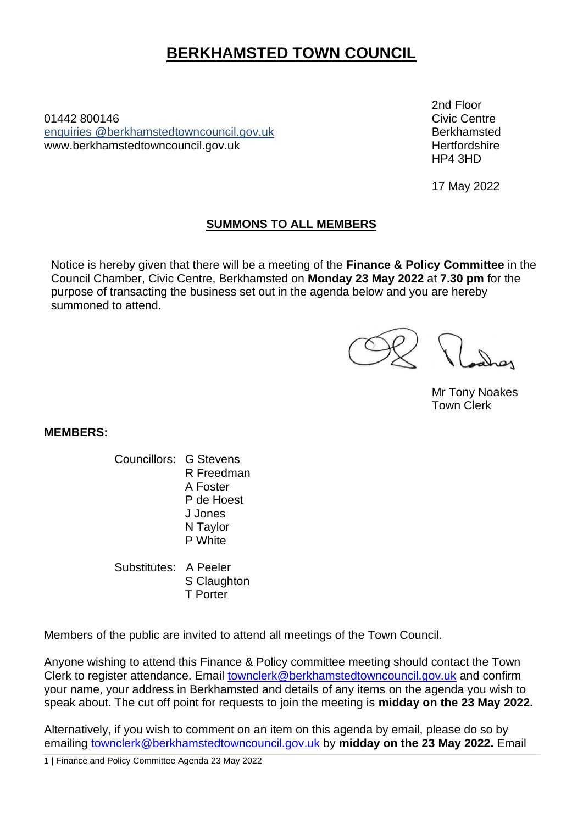# **BERKHAMSTED TOWN COUNCIL**

01442 800146Civic Centre enquiries [@berkhamstedtowncouncil.gov.uk](mailto:berkhamsted.towncouncil@dacorum.gov.uk) Berkhamsted www.berkhamstedtowncouncil.gov.uk hertfordshire

2nd Floor HP4 3HD

17 May 2022

## **SUMMONS TO ALL MEMBERS**

Notice is hereby given that there will be a meeting of the **Finance & Policy Committee** in the Council Chamber, Civic Centre, Berkhamsted on **Monday 23 May 2022** at **7.30 pm** for the purpose of transacting the business set out in the agenda below and you are hereby summoned to attend.

Mr Tony Noakes Town Clerk

**MEMBERS:**

- Councillors: G Stevens R Freedman A Foster P de Hoest J Jones N Taylor P White
- Substitutes: A Peeler S Claughton T Porter

Members of the public are invited to attend all meetings of the Town Council.

Anyone wishing to attend this Finance & Policy committee meeting should contact the Town Clerk to register attendance. Email [townclerk@berkhamstedtowncouncil.gov.uk](mailto:townclerk@berkhamstedtowncouncil.gov.uk) and confirm your name, your address in Berkhamsted and details of any items on the agenda you wish to speak about. The cut off point for requests to join the meeting is **midday on the 23 May 2022.**

Alternatively, if you wish to comment on an item on this agenda by email, please do so by emailing [townclerk@berkhamstedtowncouncil.gov.uk](mailto:townclerk@berkhamstedtowncouncil.gov.uk) by **midday on the 23 May 2022.** Email

1 | Finance and Policy Committee Agenda 23 May 2022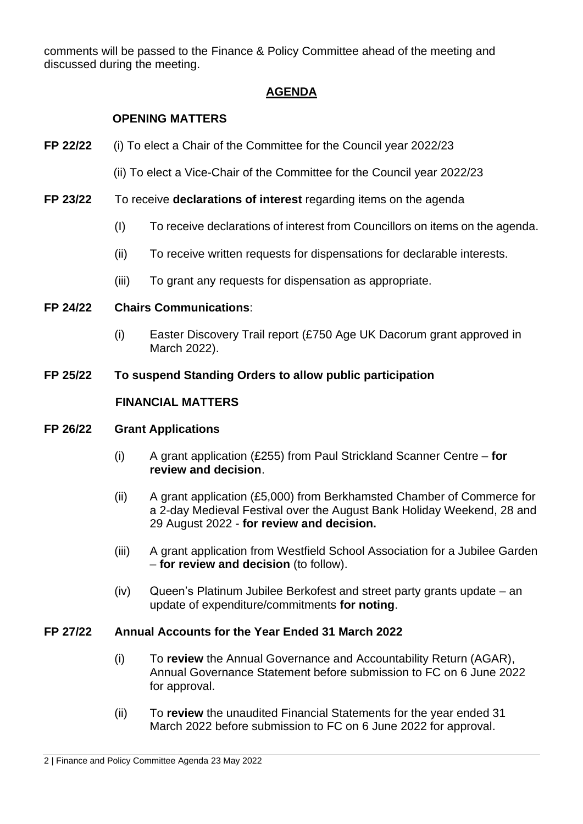comments will be passed to the Finance & Policy Committee ahead of the meeting and discussed during the meeting.

## **AGENDA**

# **OPENING MATTERS**

- **FP 22/22** (i) To elect a Chair of the Committee for the Council year 2022/23
	- (ii) To elect a Vice-Chair of the Committee for the Council year 2022/23
- **FP 23/22** To receive **declarations of interest** regarding items on the agenda
	- (I) To receive declarations of interest from Councillors on items on the agenda.
	- (ii) To receive written requests for dispensations for declarable interests.
	- (iii) To grant any requests for dispensation as appropriate.

## **FP 24/22 Chairs Communications**:

(i) Easter Discovery Trail report (£750 Age UK Dacorum grant approved in March 2022).

#### **FP 25/22 To suspend Standing Orders to allow public participation**

#### **FINANCIAL MATTERS**

#### **FP 26/22 Grant Applications**

- (i) A grant application (£255) from Paul Strickland Scanner Centre **for review and decision**.
- (ii) A grant application (£5,000) from Berkhamsted Chamber of Commerce for a 2-day Medieval Festival over the August Bank Holiday Weekend, 28 and 29 August 2022 - **for review and decision.**
- (iii) A grant application from Westfield School Association for a Jubilee Garden – **for review and decision** (to follow).
- (iv) Queen's Platinum Jubilee Berkofest and street party grants update an update of expenditure/commitments **for noting**.

## **FP 27/22 Annual Accounts for the Year Ended 31 March 2022**

- (i) To **review** the Annual Governance and Accountability Return (AGAR), Annual Governance Statement before submission to FC on 6 June 2022 for approval.
- (ii) To **review** the unaudited Financial Statements for the year ended 31 March 2022 before submission to FC on 6 June 2022 for approval.

<sup>2</sup> | Finance and Policy Committee Agenda 23 May 2022